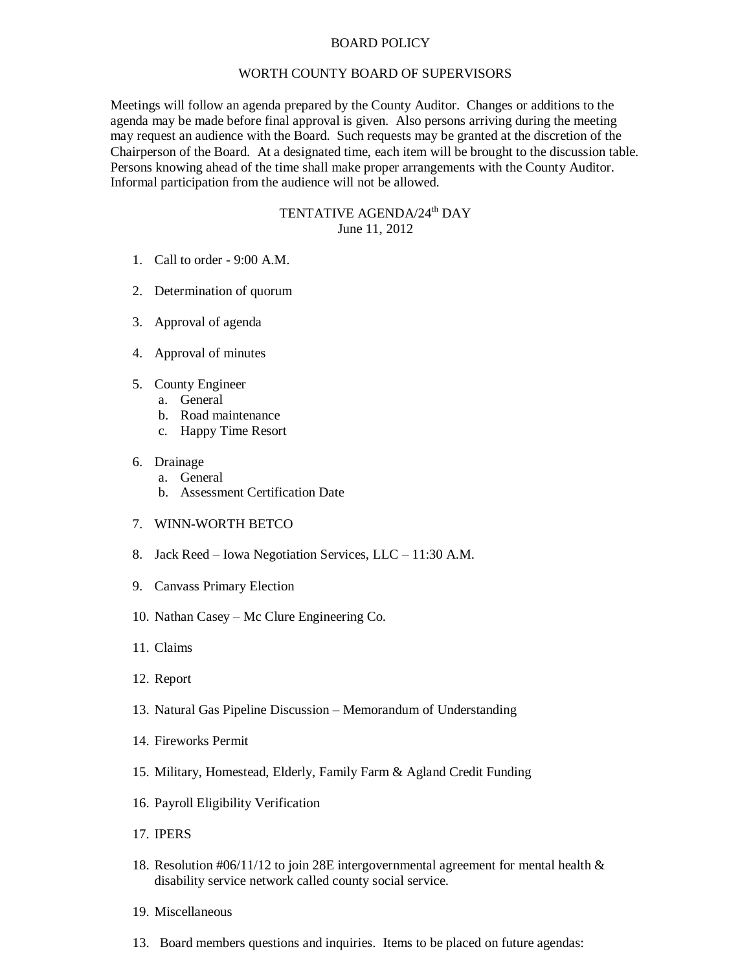## BOARD POLICY

## WORTH COUNTY BOARD OF SUPERVISORS

Meetings will follow an agenda prepared by the County Auditor. Changes or additions to the agenda may be made before final approval is given. Also persons arriving during the meeting may request an audience with the Board. Such requests may be granted at the discretion of the Chairperson of the Board. At a designated time, each item will be brought to the discussion table. Persons knowing ahead of the time shall make proper arrangements with the County Auditor. Informal participation from the audience will not be allowed.

## TENTATIVE AGENDA/24<sup>th</sup> DAY June 11, 2012

- 1. Call to order 9:00 A.M.
- 2. Determination of quorum
- 3. Approval of agenda
- 4. Approval of minutes
- 5. County Engineer
	- a. General
	- b. Road maintenance
	- c. Happy Time Resort
- 6. Drainage
	- a. General
	- b. Assessment Certification Date
- 7. WINN-WORTH BETCO
- 8. Jack Reed Iowa Negotiation Services, LLC 11:30 A.M.
- 9. Canvass Primary Election
- 10. Nathan Casey Mc Clure Engineering Co.
- 11. Claims
- 12. Report
- 13. Natural Gas Pipeline Discussion Memorandum of Understanding
- 14. Fireworks Permit
- 15. Military, Homestead, Elderly, Family Farm & Agland Credit Funding
- 16. Payroll Eligibility Verification
- 17. IPERS
- 18. Resolution #06/11/12 to join 28E intergovernmental agreement for mental health & disability service network called county social service.
- 19. Miscellaneous
- 13. Board members questions and inquiries. Items to be placed on future agendas: